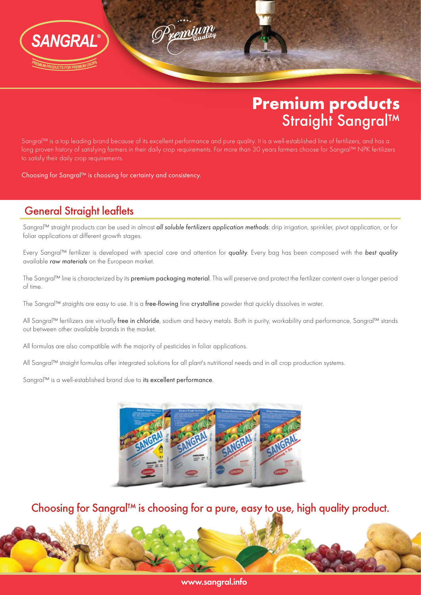

# **Premium products** Straight Sangral™

Sangral™ is a top leading brand because of its excellent performance and pure quality. It is a well-established line of fertilizers, and has a long proven history of satisfying farmers in their daily crop requirements. For more than 30 years farmers choose for Sangral™ NPK fertilizers to satisfy their daily crop requirements.

Choosing for Sangral™ is choosing for certainty and consistency.

# General Straight leaflets

Sangral™ straight products can be used in almost all soluble fertilizers application methods: drip irrigation, sprinkler, pivot application, or for foliar applications at different growth stages.

Every Sangral™ fertilizer is developed with special care and attention for quality. Every bag has been composed with the best quality available raw materials on the European market.

The Sangral™ line is characterized by its premium packaging material. This will preserve and protect the fertilizer content over a longer period of time.

The Sangral™ straights are easy to use. It is a free-flowing fine crystalline powder that quickly dissolves in water.

All Sangral™ fertilizers are virtually free in chloride, sodium and heavy metals. Both in purity, workability and performance, Sangral™ stands out between other available brands in the market.

All formulas are also compatible with the majority of pesticides in foliar applications.

All Sangral™ straight formulas offer integrated solutions for all plant's nutritional needs and in all crop production systems.

Sangral™ is a well-established brand due to its excellent performance.



## Choosing for Sangral™ is choosing for a pure, easy to use, high quality product.